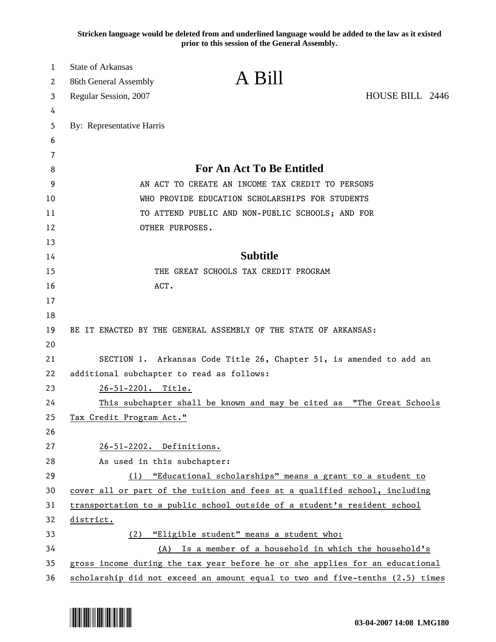**Stricken language would be deleted from and underlined language would be added to the law as it existed prior to this session of the General Assembly.**

| 1<br>2 | <b>State of Arkansas</b><br>A Bill<br>86th General Assembly                   |                                                         |
|--------|-------------------------------------------------------------------------------|---------------------------------------------------------|
| 3      | Regular Session, 2007                                                         | HOUSE BILL 2446                                         |
| 4      |                                                                               |                                                         |
| 5      | By: Representative Harris                                                     |                                                         |
| 6      |                                                                               |                                                         |
| 7      |                                                                               |                                                         |
| 8      | <b>For An Act To Be Entitled</b>                                              |                                                         |
| 9      | AN ACT TO CREATE AN INCOME TAX CREDIT TO PERSONS                              |                                                         |
| 10     | WHO PROVIDE EDUCATION SCHOLARSHIPS FOR STUDENTS                               |                                                         |
| 11     | TO ATTEND PUBLIC AND NON-PUBLIC SCHOOLS; AND FOR                              |                                                         |
| 12     | OTHER PURPOSES.                                                               |                                                         |
| 13     |                                                                               |                                                         |
| 14     | <b>Subtitle</b>                                                               |                                                         |
| 15     | THE GREAT SCHOOLS TAX CREDIT PROGRAM                                          |                                                         |
| 16     | ACT.                                                                          |                                                         |
| 17     |                                                                               |                                                         |
| 18     |                                                                               |                                                         |
| 19     | BE IT ENACTED BY THE GENERAL ASSEMBLY OF THE STATE OF ARKANSAS:               |                                                         |
| 20     |                                                                               |                                                         |
| 21     | SECTION 1. Arkansas Code Title 26, Chapter 51, is amended to add an           |                                                         |
| 22     | additional subchapter to read as follows:                                     |                                                         |
| 23     | 26-51-2201. Title.                                                            |                                                         |
| 24     | This subchapter shall be known and may be cited as "The Great Schools         |                                                         |
| 25     | Tax Credit Program Act."                                                      |                                                         |
| 26     |                                                                               |                                                         |
| 27     | 26-51-2202. Definitions.                                                      |                                                         |
| 28     | As used in this subchapter:                                                   |                                                         |
| 29     | (1) "Educational scholarships" means a grant to a student to                  |                                                         |
| 30     | cover all or part of the tuition and fees at a qualified school, including    |                                                         |
| 31     | transportation to a public school outside of a student's resident school      |                                                         |
| 32     | district.                                                                     |                                                         |
| 33     | (2) "Eligible student" means a student who:                                   |                                                         |
| 34     |                                                                               | (A) Is a member of a household in which the household's |
| 35     | gross income during the tax year before he or she applies for an educational  |                                                         |
| 36     | scholarship did not exceed an amount equal to two and five-tenths (2.5) times |                                                         |

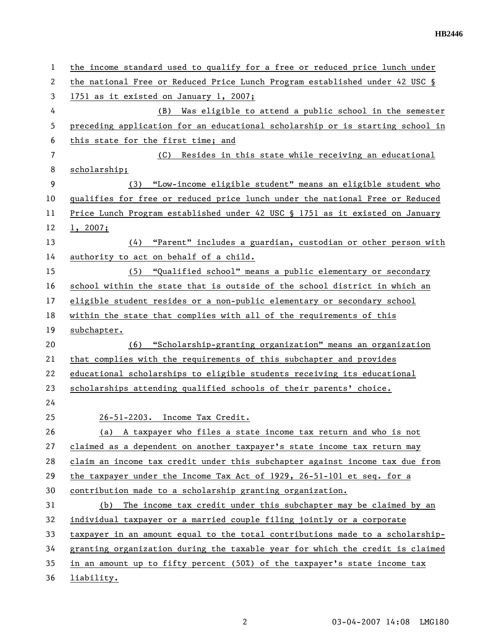| 1  | the income standard used to qualify for a free or reduced price lunch under   |
|----|-------------------------------------------------------------------------------|
| 2  | the national Free or Reduced Price Lunch Program established under 42 USC §   |
| 3  | 1751 as it existed on January 1, 2007;                                        |
| 4  | Was eligible to attend a public school in the semester<br>(B)                 |
| 5  | preceding application for an educational scholarship or is starting school in |
| 6  | this state for the first time; and                                            |
| 7  | (C)<br>Resides in this state while receiving an educational                   |
| 8  | scholarship;                                                                  |
| 9  | "Low-income eligible student" means an eligible student who<br>(3)            |
| 10 | qualifies for free or reduced price lunch under the national Free or Reduced  |
| 11 | Price Lunch Program_established_under 42 USC § 1751 as it existed on January  |
| 12 | 1, 2007;                                                                      |
| 13 | (4) "Parent" includes a guardian, custodian or other person with              |
| 14 | authority to act on behalf of a child.                                        |
| 15 | (5) "Qualified school" means a public elementary or secondary                 |
| 16 | school within the state that is outside of the school district in which an    |
| 17 | eligible student resides or a non-public elementary or secondary school       |
| 18 | within the state that complies with all of the requirements of this           |
| 19 | subchapter.                                                                   |
| 20 | "Scholarship-granting organization" means an organization<br>(6)              |
| 21 | that complies with the requirements of this subchapter and provides           |
| 22 | educational scholarships to eligible students receiving its educational       |
| 23 | scholarships attending qualified schools of their parents' choice.            |
| 24 |                                                                               |
| 25 | 26-51-2203. Income Tax Credit.                                                |
| 26 | (a) A taxpayer who files a state income tax return and who is not             |
| 27 | claimed as a dependent on another taxpayer's state income tax return may      |
| 28 | claim an income tax credit under this subchapter against income tax due from  |
| 29 | the taxpayer under the Income Tax Act of 1929, 26-51-101 et seq. for a        |
| 30 | contribution made to a scholarship granting organization.                     |
| 31 | The income tax credit under this subchapter may be claimed by an<br>(b)       |
| 32 | individual taxpayer or a married couple filing jointly or a corporate         |
| 33 | taxpayer in an amount equal to the total contributions made to a scholarship- |
| 34 | granting organization during the taxable year for which the credit is claimed |
| 35 | in an amount up to fifty percent (50%) of the taxpayer's state income tax     |
| 36 | liability.                                                                    |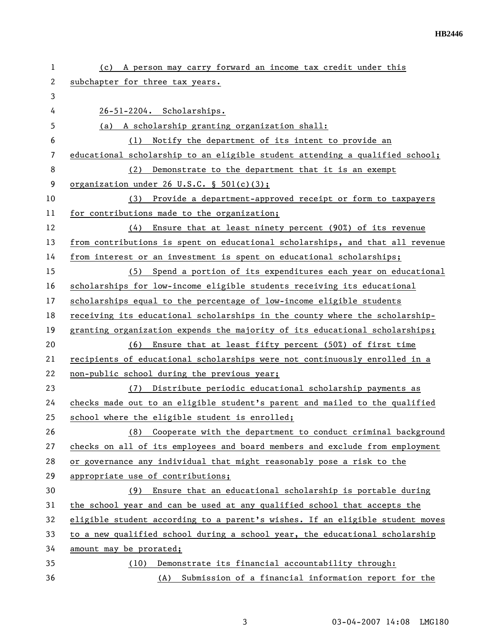| 1  | A person may carry forward an income tax credit under this<br>(c)             |
|----|-------------------------------------------------------------------------------|
| 2  | subchapter for three tax years.                                               |
| 3  |                                                                               |
| 4  | 26-51-2204. Scholarships.                                                     |
| 5  | (a) A scholarship granting organization shall:                                |
| 6  | Notify the department of its intent to provide an<br>(1)                      |
| 7  | educational scholarship to an eligible student attending a qualified school;  |
| 8  | Demonstrate to the department that it is an exempt<br>(2)                     |
| 9  | organization under 26 $U.S.C. \S 501(c)(3);$                                  |
| 10 | (3)<br>Provide a department-approved receipt or form to taxpayers             |
| 11 | for contributions made to the organization;                                   |
| 12 | Ensure that at least ninety percent (90%) of its revenue<br>(4)               |
| 13 | from contributions is spent on educational scholarships, and that all revenue |
| 14 | from interest or an investment is spent on educational scholarships;          |
| 15 | (5) Spend a portion of its expenditures each year on educational              |
| 16 | scholarships for low-income eligible students receiving its educational       |
| 17 | scholarships equal to the percentage of low-income eligible students          |
| 18 | receiving its educational scholarships in the county where the scholarship-   |
| 19 | granting organization expends the majority of its educational scholarships;   |
| 20 | (6)<br>Ensure that at least fifty percent (50%) of first time                 |
| 21 | recipients of educational scholarships were not continuously enrolled in a    |
| 22 | non-public school during the previous year;                                   |
| 23 | Distribute periodic educational scholarship payments as<br>(7)                |
| 24 | checks made out to an eligible student's parent and mailed to the qualified   |
| 25 | school where the eligible student is enrolled;                                |
| 26 | Cooperate with the department to conduct criminal background<br>(8)           |
| 27 | checks on all of its employees and board members and exclude from employment  |
| 28 | or governance any individual that might reasonably pose a risk to the         |
| 29 | appropriate use of contributions;                                             |
| 30 | Ensure that an educational scholarship is portable during<br>(9)              |
| 31 | the school year and can be used at any qualified school that accepts the      |
| 32 | eligible student according to a parent's wishes. If an eligible student moves |
| 33 | to a new qualified school during a school year, the educational scholarship   |
| 34 | amount may be prorated;                                                       |
| 35 | Demonstrate its financial accountability through:<br>(10)                     |
| 36 | Submission of a financial information report for the<br>(A)                   |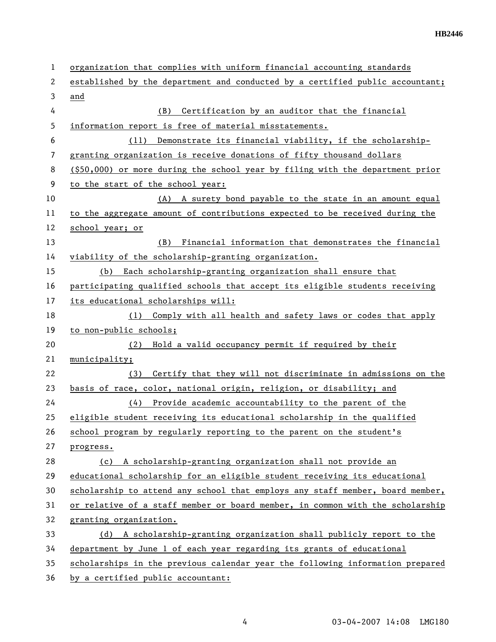| 1  | organization that complies with uniform financial accounting standards           |
|----|----------------------------------------------------------------------------------|
| 2  | established by the department and conducted by a certified public accountant;    |
| 3  | and                                                                              |
| 4  | Certification by an auditor that the financial<br>(B)                            |
| 5  | information report is free of material misstatements.                            |
| 6  | (11) Demonstrate its financial viability, if the scholarship-                    |
| 7  | granting organization is receive donations of fifty thousand dollars             |
| 8  | $($ \$50,000) or more during the school year by filing with the department prior |
| 9  | to the start of the school year:                                                 |
| 10 | (A) A surety bond payable to the state in an amount equal                        |
| 11 | to the aggregate amount of contributions expected to be received during the      |
| 12 | school year; or                                                                  |
| 13 | Financial information that demonstrates the financial<br>(B)                     |
| 14 | viability of the scholarship-granting organization.                              |
| 15 | (b) Each scholarship-granting organization shall ensure that                     |
| 16 | participating qualified schools that accept its eligible students receiving      |
| 17 | its educational scholarships will:                                               |
| 18 | (1) Comply with all health and safety laws or codes that apply                   |
| 19 | to non-public schools;                                                           |
| 20 | Hold a valid occupancy permit if required by their<br>(2)                        |
| 21 | municipality;                                                                    |
| 22 | Certify that they will not discriminate in admissions on the<br>(3)              |
| 23 | basis of race, color, national origin, religion, or disability; and              |
| 24 | (4) Provide academic accountability to the parent of the                         |
| 25 | eligible student receiving its educational scholarship in the qualified          |
| 26 | school program by regularly reporting to the parent on the student's             |
| 27 | progress.                                                                        |
| 28 | (c) A scholarship-granting organization shall not provide an                     |
| 29 | educational scholarship for an eligible student receiving its educational        |
| 30 | scholarship to attend any school that employs any staff member, board member,    |
| 31 | or relative of a staff member or board member, in common with the scholarship    |
| 32 | granting organization.                                                           |
| 33 | (d) A scholarship-granting organization shall publicly report to the             |
| 34 | department by June 1 of each year regarding its grants of educational            |
| 35 | scholarships in the previous calendar year the following information prepared    |
| 36 | by a certified public accountant:                                                |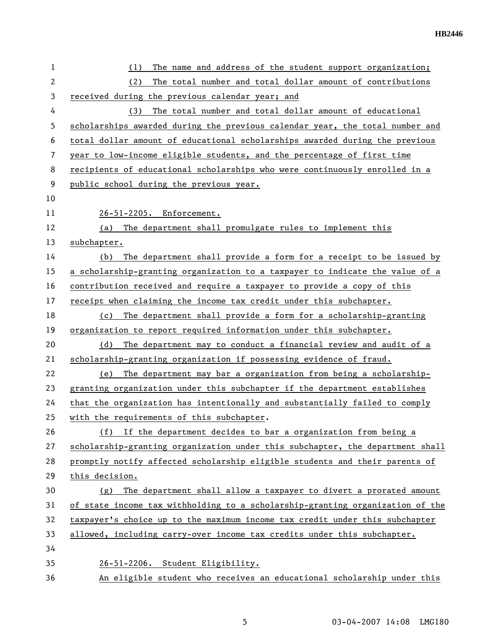| 1            | The name and address of the student support organization;<br>(1)              |
|--------------|-------------------------------------------------------------------------------|
| $\mathbf{2}$ | The total number and total dollar amount of contributions<br>(2)              |
| 3            | received during the previous calendar year; and                               |
| 4            | The total number and total dollar amount of educational<br>(3)                |
| 5            | scholarships awarded during the previous calendar year, the total number and  |
| 6            | total dollar amount of educational scholarships awarded during the previous   |
| 7            | year to low-income eligible students, and the percentage of first time        |
| 8            | recipients of educational scholarships who were continuously enrolled in a    |
| 9            | public school during the previous year.                                       |
| 10           |                                                                               |
| 11           | 26-51-2205. Enforcement.                                                      |
| 12           | The department shall promulgate rules to implement this<br>(a)                |
| 13           | subchapter.                                                                   |
| 14           | The department shall provide a form for a receipt to be issued by<br>(b)      |
| 15           | a scholarship-granting organization to a taxpayer to indicate the value of a  |
| 16           | contribution received and require a taxpayer to provide a copy of this        |
| 17           | receipt when claiming the income tax credit under this subchapter.            |
| 18           | The department shall provide a form for a scholarship-granting<br>(c)         |
| 19           | organization to report required information under this subchapter.            |
| 20           | The department may to conduct a financial review and audit of a<br>(d)        |
| 21           | scholarship-granting organization if possessing evidence of fraud.            |
| 22           | The department may bar a organization from being a scholarship-<br>(e)        |
| 23           | granting organization under this subchapter if the department establishes     |
| 24           | that the organization has intentionally and substantially failed to comply    |
| 25           | with the requirements of this subchapter.                                     |
| 26           | If the department decides to bar a organization from being a<br>(f)           |
| 27           | scholarship-granting organization under this subchapter, the department shall |
| 28           | promptly notify affected scholarship eligible students and their parents of   |
| 29           | this decision.                                                                |
| 30           | The department shall allow a taxpayer to divert a prorated amount<br>(g)      |
| 31           | of state income tax withholding to a scholarship-granting organization of the |
| 32           | taxpayer's choice up to the maximum income tax credit under this subchapter   |
| 33           | allowed, including carry-over income tax credits under this subchapter.       |
| 34           |                                                                               |
| 35           | 26-51-2206. Student Eligibility.                                              |
| 36           | An eligible student who receives an educational scholarship under this        |